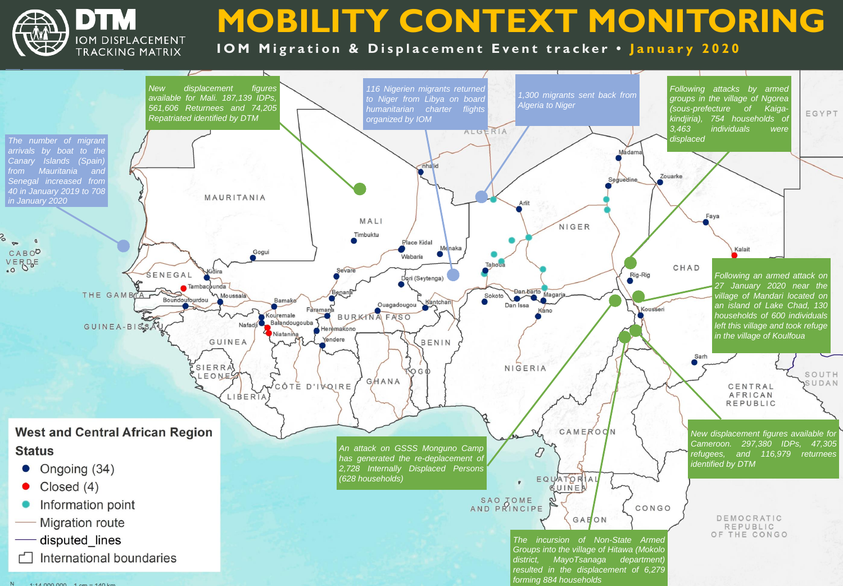

# **MOBILITY CONTEXT MONITORING**

**IOM Migration & Displacement Event tracker . January 2020**